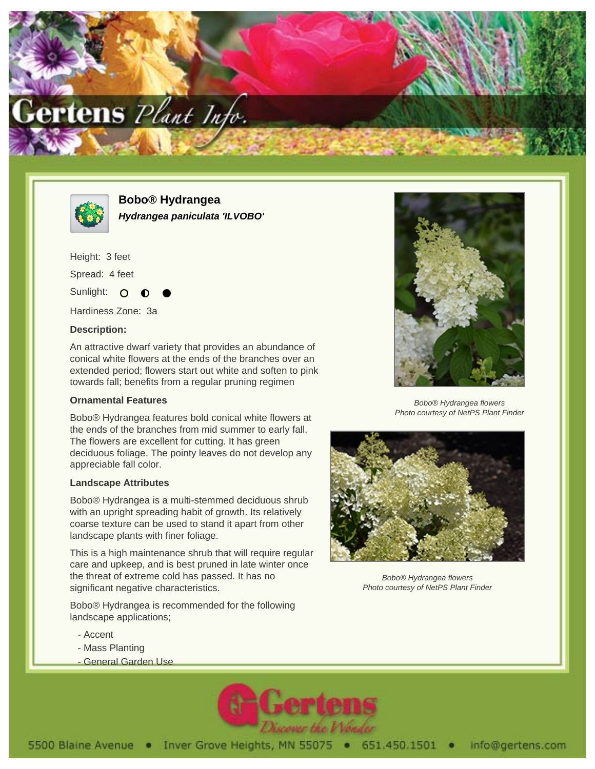



**Bobo® Hydrangea Hydrangea paniculata 'ILVOBO'**

Height: 3 feet Spread: 4 feet

Sunlight: O

Hardiness Zone: 3a

## **Description:**

An attractive dwarf variety that provides an abundance of conical white flowers at the ends of the branches over an extended period; flowers start out white and soften to pink towards fall; benefits from a regular pruning regimen

## **Ornamental Features**

Bobo® Hydrangea features bold conical white flowers at the ends of the branches from mid summer to early fall. The flowers are excellent for cutting. It has green deciduous foliage. The pointy leaves do not develop any appreciable fall color.

## **Landscape Attributes**

Bobo® Hydrangea is a multi-stemmed deciduous shrub with an upright spreading habit of growth. Its relatively coarse texture can be used to stand it apart from other landscape plants with finer foliage.

This is a high maintenance shrub that will require regular care and upkeep, and is best pruned in late winter once the threat of extreme cold has passed. It has no significant negative characteristics.

Bobo® Hydrangea is recommended for the following landscape applications;

- Accent
- Mass Planting
- General Garden Use





Bobo® Hydrangea flowers Photo courtesy of NetPS Plant Finder



Bobo® Hydrangea flowers Photo courtesy of NetPS Plant Finder